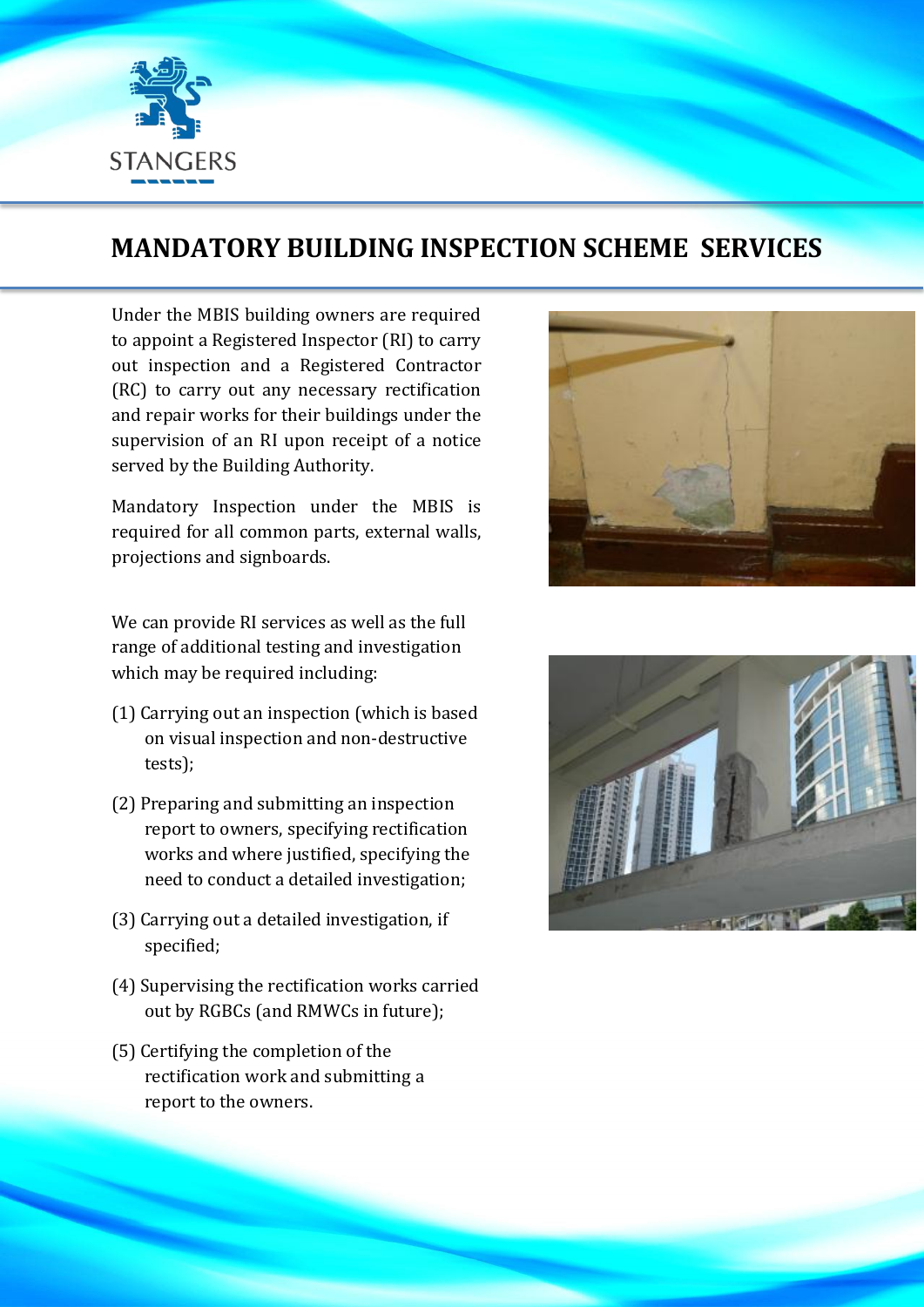

## **MANDATORY BUILDING INSPECTION SCHEME SERVICES**

Under the MBIS building owners are required to appoint a Registered Inspector (RI) to carry out inspection and a Registered Contractor (RC) to carry out any necessary rectification and repair works for their buildings under the supervision of an RI upon receipt of a notice served by the Building Authority.

Mandatory Inspection under the MBIS is required for all common parts, external walls, projections and signboards.

We can provide RI services as well as the full range of additional testing and investigation which may be required including:

- (1) Carrying out an inspection (which is based on visual inspection and non-destructive tests);
- (2) Preparing and submitting an inspection report to owners, specifying rectification works and where justified, specifying the need to conduct a detailed investigation;
- (3) Carrying out a detailed investigation, if specified;
- (4) Supervising the rectification works carried out by RGBCs (and RMWCs in future);
- (5) Certifying the completion of the rectification work and submitting a report to the owners.